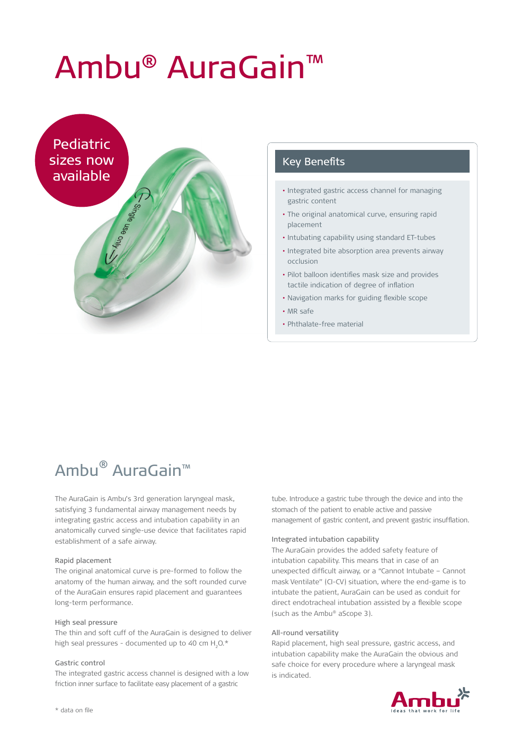# Ambu® AuraGain™



#### Key Benefits

- Integrated gastric access channel for managing gastric content
- The original anatomical curve, ensuring rapid placement
- Intubating capability using standard ET-tubes
- Integrated bite absorption area prevents airway occlusion
- Pilot balloon identifies mask size and provides tactile indication of degree of inflation
- Navigation marks for guiding flexible scope
- MR safe
- Phthalate-free material

# Ambu® AuraGain™

The AuraGain is Ambu's 3rd generation laryngeal mask, satisfying 3 fundamental airway management needs by integrating gastric access and intubation capability in an anatomically curved single-use device that facilitates rapid establishment of a safe airway.

#### Rapid placement

The original anatomical curve is pre-formed to follow the anatomy of the human airway, and the soft rounded curve of the AuraGain ensures rapid placement and guarantees long-term performance.

#### High seal pressure

The thin and soft cuff of the AuraGain is designed to deliver high seal pressures - documented up to 40 cm H $_{2}$ O.\*

#### Gastric control

The integrated gastric access channel is designed with a low friction inner surface to facilitate easy placement of a gastric

tube. Introduce a gastric tube through the device and into the stomach of the patient to enable active and passive management of gastric content, and prevent gastric insufflation.

#### Integrated intubation capability

The AuraGain provides the added safety feature of intubation capability. This means that in case of an unexpected difficult airway, or a "Cannot Intubate – Cannot mask Ventilate" (CI-CV) situation, where the end-game is to intubate the patient, AuraGain can be used as conduit for direct endotracheal intubation assisted by a flexible scope (such as the Ambu® aScope 3).

#### All-round versatility

Rapid placement, high seal pressure, gastric access, and intubation capability make the AuraGain the obvious and safe choice for every procedure where a laryngeal mask is indicated.